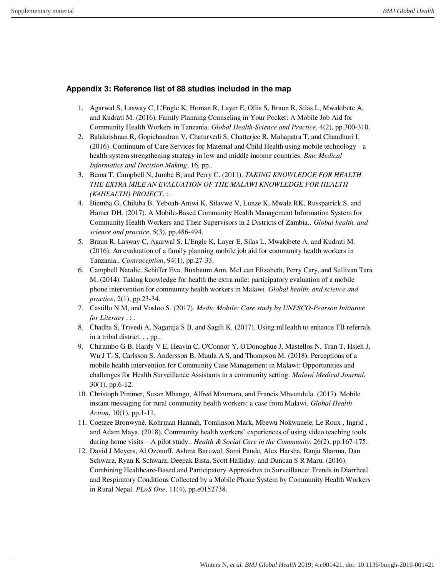## **Appendix 3: Reference list of 88 studies included in the map**

- 1. Agarwal S, Lasway C, L'Engle K, Homan R, Layer E, Ollis S, Braun R, Silas L, Mwakibete A, and Kudrati M. (2016). Family Planning Counseling in Your Pocket: A Mobile Job Aid for Community Health Workers in Tanzania. *Global Health-Science and Practice*, 4(2), pp.300-310.
- 2. Balakrishnan R, Gopichandran V, Chaturvedi S, Chatterjee R, Mahapatra T, and Chaudhuri I. (2016). Continuum of Care Services for Maternal and Child Health using mobile technology - a health system strengthening strategy in low and middle income countries. *Bmc Medical Informatics and Decision Making*, 16, pp..
- 3. Bema T, Campbell N, Jumbe B, and Perry C. (2011). *TAKING KNOWLEDGE FOR HEALTH THE EXTRA MILE AN EVALUATION OF THE MALAWI KNOWLEDGE FOR HEALTH (K4HEALTH) PROJECT*. : .
- 4. Biemba G, Chiluba B, Yeboah-Antwi K, Silavwe V, Lunze K, Mwale RK, Russpatrick S, and Hamer DH. (2017). A Mobile-Based Community Health Management Information System for Community Health Workers and Their Supervisors in 2 Districts of Zambia.. *Global health, and science and practice*, 5(3), pp.486-494.
- 5. Braun R, Lasway C, Agarwal S, L'Engle K, Layer E, Silas L, Mwakibete A, and Kudrati M. (2016). An evaluation of a family planning mobile job aid for community health workers in Tanzania.. *Contraception*, 94(1), pp.27-33.
- 6. Campbell Natalie, Schiffer Eva, Buxbaum Ann, McLean Elizabeth, Perry Cary, and Sullivan Tara M. (2014). Taking knowledge for health the extra mile: participatory evaluation of a mobile phone intervention for community health workers in Malawi. *Global health, and science and practice*, 2(1), pp.23-34.
- 7. Castillo N M, and Vosloo S. (2017). *Medic Mobile: Case study by UNESCO-Pearson Initiative for Literacy* . : .
- 8. Chadha S, Trivedi A, Nagaraja S B, and Sagili K. (2017). Using mHealth to enhance TB referrals in a tribal district. , , pp..
- 9. Chirambo G B, Hardy V E, Heavin C, O'Connor Y, O'Donoghue J, Mastellos N, Tran T, Hsieh J, Wu J T. S, Carlsson S, Andersson B, Muula A S, and Thompson M. (2018). Perceptions of a mobile health intervention for Community Case Management in Malawi: Opportunities and challenges for Health Surveillance Assistants in a community setting. *Malawi Medical Journal*, 30(1), pp.6-12.
- 10. Christoph Pimmer, Susan Mhango, Alfred Mzumara, and Francis Mbvundula. (2017). Mobile instant messaging for rural community health workers: a case from Malawi. *Global Health Action*, 10(1), pp.1-11.
- 11. Coetzee Bronwyné, Kohrman Hannah, Tomlinson Mark, Mbewu Nokwanele, Le Roux , Ingrid , and Adam Maya. (2018). Community health workers' experiences of using video teaching tools during home visits—A pilot study.. *Health & Social Care in the Community*, 26(2), pp.167-175.
- 12. David J Meyers, Al Ozonoff, Ashma Baruwal, Sami Pande, Alex Harsha, Ranju Sharma, Dan Schwarz, Ryan K Schwarz, Deepak Bista, Scott Halliday, and Duncan S R Maru. (2016). Combining Healthcare-Based and Participatory Approaches to Surveillance: Trends in Diarrheal and Respiratory Conditions Collected by a Mobile Phone System by Community Health Workers in Rural Nepal. *PLoS One*, 11(4), pp.e0152738.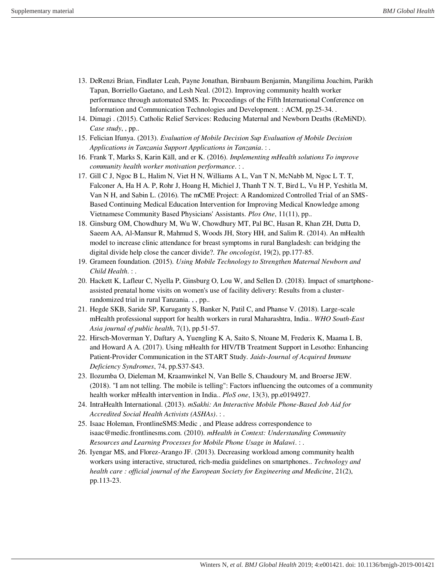- 13. DeRenzi Brian, Findlater Leah, Payne Jonathan, Birnbaum Benjamin, Mangilima Joachim, Parikh Tapan, Borriello Gaetano, and Lesh Neal. (2012). Improving community health worker performance through automated SMS. In: Proceedings of the Fifth International Conference on Information and Communication Technologies and Development. : ACM, pp.25-34. .
- 14. Dimagi . (2015). Catholic Relief Services: Reducing Maternal and Newborn Deaths (ReMiND). *Case study*, , pp..
- 15. Felician Ifunya. (2013). *Evaluation of Mobile Decision Sup Evaluation of Mobile Decision Applications in Tanzania Support Applications in Tanzania*. : .
- 16. Frank T, Marks S, Karin Käll, and er K. (2016). *Implementing mHealth solutions To improve community health worker motivation performance*. : .
- 17. Gill C J, Ngoc B L, Halim N, Viet H N, Williams A L, Van T N, McNabb M, Ngoc L T. T, Falconer A, Ha H A. P, Rohr J, Hoang H, Michiel J, Thanh T N. T, Bird L, Vu H P, Yeshitla M, Van N H, and Sabin L. (2016). The mCME Project: A Randomized Controlled Trial of an SMS-Based Continuing Medical Education Intervention for Improving Medical Knowledge among Vietnamese Community Based Physicians' Assistants. *Plos One*, 11(11), pp..
- 18. Ginsburg OM, Chowdhury M, Wu W, Chowdhury MT, Pal BC, Hasan R, Khan ZH, Dutta D, Saeem AA, Al-Mansur R, Mahmud S, Woods JH, Story HH, and Salim R. (2014). An mHealth model to increase clinic attendance for breast symptoms in rural Bangladesh: can bridging the digital divide help close the cancer divide?. *The oncologist*, 19(2), pp.177-85.
- 19. Grameen foundation. (2015). *Using Mobile Technology to Strengthen Maternal Newborn and Child Health*. : .
- 20. Hackett K, Lafleur C, Nyella P, Ginsburg O, Lou W, and Sellen D. (2018). Impact of smartphoneassisted prenatal home visits on women's use of facility delivery: Results from a clusterrandomized trial in rural Tanzania. , , pp..
- 21. Hegde SKB, Saride SP, Kuruganty S, Banker N, Patil C, and Phanse V. (2018). Large-scale mHealth professional support for health workers in rural Maharashtra, India.. *WHO South-East Asia journal of public health*, 7(1), pp.51-57.
- 22. Hirsch-Moverman Y, Daftary A, Yuengling K A, Saito S, Ntoane M, Frederix K, Maama L B, and Howard A A. (2017). Using mHealth for HIV/TB Treatment Support in Lesotho: Enhancing Patient-Provider Communication in the START Study. *Jaids-Journal of Acquired Immune Deficiency Syndromes*, 74, pp.S37-S43.
- 23. Ilozumba O, Dieleman M, Kraamwinkel N, Van Belle S, Chaudoury M, and Broerse JEW. (2018). "I am not telling. The mobile is telling": Factors influencing the outcomes of a community health worker mHealth intervention in India.. *PloS one*, 13(3), pp.e0194927.
- 24. IntraHealth International. (2013). *mSakhi: An Interactive Mobile Phone-Based Job Aid for Accredited Social Health Activists (ASHAs)*. : .
- 25. Isaac Holeman, FrontlineSMS:Medic , and Please address correspondence to isaac@medic.frontlinesms.com. (2010). *mHealth in Context: Understanding Community Resources and Learning Processes for Mobile Phone Usage in Malawi*. : .
- 26. Iyengar MS, and Florez-Arango JF. (2013). Decreasing workload among community health workers using interactive, structured, rich-media guidelines on smartphones.. *Technology and health care : official journal of the European Society for Engineering and Medicine, 21(2),* pp.113-23.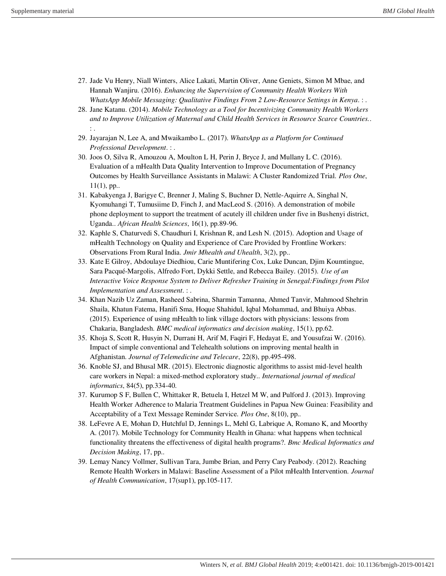- 27. Jade Vu Henry, Niall Winters, Alice Lakati, Martin Oliver, Anne Geniets, Simon M Mbae, and Hannah Wanjiru. (2016). *Enhancing the Supervision of Community Health Workers With WhatsApp Mobile Messaging: Qualitative Findings From 2 Low-Resource Settings in Kenya*. : .
- 28. Jane Katanu. (2014). *Mobile Technology as a Tool for Incentivizing Community Health Workers and to Improve Utilization of Maternal and Child Health Services in Resource Scarce Countries.*. : .
- 29. Jayarajan N, Lee A, and Mwaikambo L. (2017). *WhatsApp as a Platform for Continued Professional Development*. : .
- 30. Joos O, Silva R, Amouzou A, Moulton L H, Perin J, Bryce J, and Mullany L C. (2016). Evaluation of a mHealth Data Quality Intervention to Improve Documentation of Pregnancy Outcomes by Health Surveillance Assistants in Malawi: A Cluster Randomized Trial. *Plos One*,  $11(1)$ , pp..
- 31. Kabakyenga J, Barigye C, Brenner J, Maling S, Buchner D, Nettle-Aquirre A, Singhal N, Kyomuhangi T, Tumusiime D, Finch J, and MacLeod S. (2016). A demonstration of mobile phone deployment to support the treatment of acutely ill children under five in Bushenyi district, Uganda.. *African Health Sciences*, 16(1), pp.89-96.
- 32. Kaphle S, Chaturvedi S, Chaudhuri I, Krishnan R, and Lesh N. (2015). Adoption and Usage of mHealth Technology on Quality and Experience of Care Provided by Frontline Workers: Observations From Rural India. *Jmir Mhealth and Uhealth*, 3(2), pp..
- 33. Kate E Gilroy, Abdoulaye Diedhiou, Carie Muntifering Cox, Luke Duncan, Djim Koumtingue, Sara Pacqué-Margolis, Alfredo Fort, Dykki Settle, and Rebecca Bailey. (2015). *Use of an Interactive Voice Response System to Deliver Refresher Training in Senegal:Findings from Pilot Implementation and Assessment*. : .
- 34. Khan Nazib Uz Zaman, Rasheed Sabrina, Sharmin Tamanna, Ahmed Tanvir, Mahmood Shehrin Shaila, Khatun Fatema, Hanifi Sma, Hoque Shahidul, Iqbal Mohammad, and Bhuiya Abbas. (2015). Experience of using mHealth to link village doctors with physicians: lessons from Chakaria, Bangladesh. *BMC medical informatics and decision making*, 15(1), pp.62.
- 35. Khoja S, Scott R, Husyin N, Durrani H, Arif M, Faqiri F, Hedayat E, and Yousufzai W. (2016). Impact of simple conventional and Telehealth solutions on improving mental health in Afghanistan. *Journal of Telemedicine and Telecare*, 22(8), pp.495-498.
- 36. Knoble SJ, and Bhusal MR. (2015). Electronic diagnostic algorithms to assist mid-level health care workers in Nepal: a mixed-method exploratory study.. *International journal of medical informatics*, 84(5), pp.334-40.
- 37. Kurumop S F, Bullen C, Whittaker R, Betuela I, Hetzel M W, and Pulford J. (2013). Improving Health Worker Adherence to Malaria Treatment Guidelines in Papua New Guinea: Feasibility and Acceptability of a Text Message Reminder Service. *Plos One*, 8(10), pp..
- 38. LeFevre A E, Mohan D, Hutchful D, Jennings L, Mehl G, Labrique A, Romano K, and Moorthy A. (2017). Mobile Technology for Community Health in Ghana: what happens when technical functionality threatens the effectiveness of digital health programs?. *Bmc Medical Informatics and Decision Making*, 17, pp..
- 39. Lemay Nancy Vollmer, Sullivan Tara, Jumbe Brian, and Perry Cary Peabody. (2012). Reaching Remote Health Workers in Malawi: Baseline Assessment of a Pilot mHealth Intervention. *Journal of Health Communication*, 17(sup1), pp.105-117.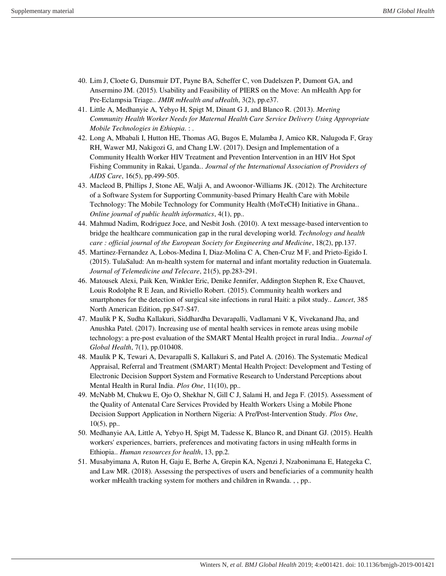- 40. Lim J, Cloete G, Dunsmuir DT, Payne BA, Scheffer C, von Dadelszen P, Dumont GA, and Ansermino JM. (2015). Usability and Feasibility of PIERS on the Move: An mHealth App for Pre-Eclampsia Triage.. *JMIR mHealth and uHealth*, 3(2), pp.e37.
- 41. Little A, Medhanyie A, Yebyo H, Spigt M, Dinant G J, and Blanco R. (2013). *Meeting Community Health Worker Needs for Maternal Health Care Service Delivery Using Appropriate Mobile Technologies in Ethiopia*. : .
- 42. Long A, Mbabali I, Hutton HE, Thomas AG, Bugos E, Mulamba J, Amico KR, Nalugoda F, Gray RH, Wawer MJ, Nakigozi G, and Chang LW. (2017). Design and Implementation of a Community Health Worker HIV Treatment and Prevention Intervention in an HIV Hot Spot Fishing Community in Rakai, Uganda.. *Journal of the International Association of Providers of AIDS Care*, 16(5), pp.499-505.
- 43. Macleod B, Phillips J, Stone AE, Walji A, and Awoonor-Williams JK. (2012). The Architecture of a Software System for Supporting Community-based Primary Health Care with Mobile Technology: The Mobile Technology for Community Health (MoTeCH) Initiative in Ghana.. *Online journal of public health informatics*, 4(1), pp..
- 44. Mahmud Nadim, Rodriguez Joce, and Nesbit Josh. (2010). A text message-based intervention to bridge the healthcare communication gap in the rural developing world. *Technology and health care : official journal of the European Society for Engineering and Medicine*, 18(2), pp.137.
- 45. Martinez-Fernandez A, Lobos-Medina I, Diaz-Molina C A, Chen-Cruz M F, and Prieto-Egido I. (2015). TulaSalud: An m-health system for maternal and infant mortality reduction in Guatemala. *Journal of Telemedicine and Telecare*, 21(5), pp.283-291.
- 46. Matousek Alexi, Paik Ken, Winkler Eric, Denike Jennifer, Addington Stephen R, Exe Chauvet, Louis Rodolphe R E Jean, and Riviello Robert. (2015). Community health workers and smartphones for the detection of surgical site infections in rural Haiti: a pilot study.. *Lancet*, 385 North American Edition, pp.S47-S47.
- 47. Maulik P K, Sudha Kallakuri, Siddhardha Devarapalli, Vadlamani V K, Vivekanand Jha, and Anushka Patel. (2017). Increasing use of mental health services in remote areas using mobile technology: a pre-post evaluation of the SMART Mental Health project in rural India.. *Journal of Global Health*, 7(1), pp.010408.
- 48. Maulik P K, Tewari A, Devarapalli S, Kallakuri S, and Patel A. (2016). The Systematic Medical Appraisal, Referral and Treatment (SMART) Mental Health Project: Development and Testing of Electronic Decision Support System and Formative Research to Understand Perceptions about Mental Health in Rural India. *Plos One*, 11(10), pp..
- 49. McNabb M, Chukwu E, Ojo O, Shekhar N, Gill C J, Salami H, and Jega F. (2015). Assessment of the Quality of Antenatal Care Services Provided by Health Workers Using a Mobile Phone Decision Support Application in Northern Nigeria: A Pre/Post-Intervention Study. *Plos One*,  $10(5)$ , pp..
- 50. Medhanyie AA, Little A, Yebyo H, Spigt M, Tadesse K, Blanco R, and Dinant GJ. (2015). Health workers' experiences, barriers, preferences and motivating factors in using mHealth forms in Ethiopia.. *Human resources for health*, 13, pp.2.
- 51. Musabyimana A, Ruton H, Gaju E, Berhe A, Grepin KA, Ngenzi J, Nzabonimana E, Hategeka C, and Law MR. (2018). Assessing the perspectives of users and beneficiaries of a community health worker mHealth tracking system for mothers and children in Rwanda. , , pp..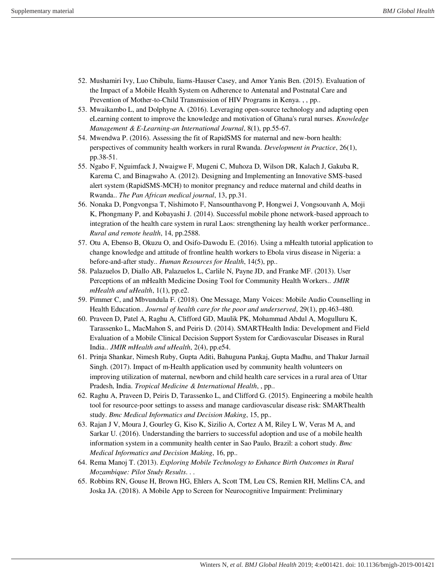- 52. Mushamiri Ivy, Luo Chibulu, Iiams-Hauser Casey, and Amor Yanis Ben. (2015). Evaluation of the Impact of a Mobile Health System on Adherence to Antenatal and Postnatal Care and Prevention of Mother-to-Child Transmission of HIV Programs in Kenya. , , pp..
- 53. Mwaikambo L, and Dolphyne A. (2016). Leveraging open-source technology and adapting open eLearning content to improve the knowledge and motivation of Ghana's rural nurses. *Knowledge Management & E-Learning-an International Journal*, 8(1), pp.55-67.
- 54. Mwendwa P. (2016). Assessing the fit of RapidSMS for maternal and new-born health: perspectives of community health workers in rural Rwanda. *Development in Practice*, 26(1), pp.38-51.
- 55. Ngabo F, Nguimfack J, Nwaigwe F, Mugeni C, Muhoza D, Wilson DR, Kalach J, Gakuba R, Karema C, and Binagwaho A. (2012). Designing and Implementing an Innovative SMS-based alert system (RapidSMS-MCH) to monitor pregnancy and reduce maternal and child deaths in Rwanda.. *The Pan African medical journal*, 13, pp.31.
- 56. Nonaka D, Pongvongsa T, Nishimoto F, Nansounthavong P, Hongwei J, Vongsouvanh A, Moji K, Phongmany P, and Kobayashi J. (2014). Successful mobile phone network-based approach to integration of the health care system in rural Laos: strengthening lay health worker performance.. *Rural and remote health*, 14, pp.2588.
- 57. Otu A, Ebenso B, Okuzu O, and Osifo-Dawodu E. (2016). Using a mHealth tutorial application to change knowledge and attitude of frontline health workers to Ebola virus disease in Nigeria: a before-and-after study.. *Human Resources for Health*, 14(5), pp..
- 58. Palazuelos D, Diallo AB, Palazuelos L, Carlile N, Payne JD, and Franke MF. (2013). User Perceptions of an mHealth Medicine Dosing Tool for Community Health Workers.. *JMIR mHealth and uHealth*, 1(1), pp.e2.
- 59. Pimmer C, and Mbvundula F. (2018). One Message, Many Voices: Mobile Audio Counselling in Health Education.. *Journal of health care for the poor and underserved*, 29(1), pp.463-480.
- 60. Praveen D, Patel A, Raghu A, Clifford GD, Maulik PK, Mohammad Abdul A, Mogulluru K, Tarassenko L, MacMahon S, and Peiris D. (2014). SMARTHealth India: Development and Field Evaluation of a Mobile Clinical Decision Support System for Cardiovascular Diseases in Rural India.. *JMIR mHealth and uHealth*, 2(4), pp.e54.
- 61. Prinja Shankar, Nimesh Ruby, Gupta Aditi, Bahuguna Pankaj, Gupta Madhu, and Thakur Jarnail Singh. (2017). Impact of m‐Health application used by community health volunteers on improving utilization of maternal, newborn and child health care services in a rural area of Uttar Pradesh, India. *Tropical Medicine & International Health*, , pp..
- 62. Raghu A, Praveen D, Peiris D, Tarassenko L, and Clifford G. (2015). Engineering a mobile health tool for resource-poor settings to assess and manage cardiovascular disease risk: SMARThealth study. *Bmc Medical Informatics and Decision Making*, 15, pp..
- 63. Rajan J V, Moura J, Gourley G, Kiso K, Sizilio A, Cortez A M, Riley L W, Veras M A, and Sarkar U. (2016). Understanding the barriers to successful adoption and use of a mobile health information system in a community health center in Sao Paulo, Brazil: a cohort study. *Bmc Medical Informatics and Decision Making*, 16, pp..
- 64. Rema Manoj T. (2013). *Exploring Mobile Technology to Enhance Birth Outcomes in Rural Mozambique: Pilot Study Results*. . .
- 65. Robbins RN, Gouse H, Brown HG, Ehlers A, Scott TM, Leu CS, Remien RH, Mellins CA, and Joska JA. (2018). A Mobile App to Screen for Neurocognitive Impairment: Preliminary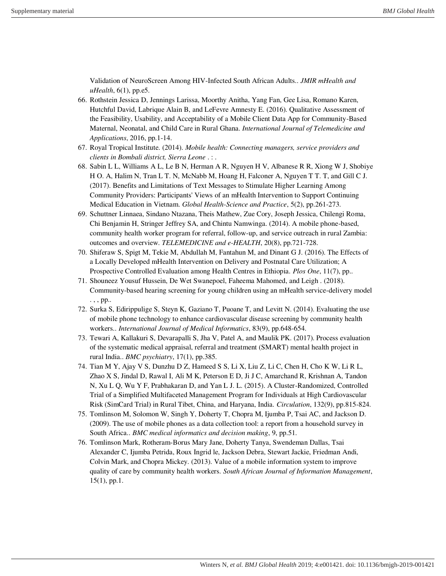Validation of NeuroScreen Among HIV-Infected South African Adults.. *JMIR mHealth and uHealth*, 6(1), pp.e5.

- 66. Rothstein Jessica D, Jennings Larissa, Moorthy Anitha, Yang Fan, Gee Lisa, Romano Karen, Hutchful David, Labrique Alain B, and LeFevre Amnesty E. (2016). Qualitative Assessment of the Feasibility, Usability, and Acceptability of a Mobile Client Data App for Community-Based Maternal, Neonatal, and Child Care in Rural Ghana. *International Journal of Telemedicine and Applications*, 2016, pp.1-14.
- 67. Royal Tropical Institute. (2014). *Mobile health: Connecting managers, service providers and clients in Bombali district, Sierra Leone* . : .
- 68. Sabin L L, Williams A L, Le B N, Herman A R, Nguyen H V, Albanese R R, Xiong W J, Shobiye H O. A, Halim N, Tran L T. N, McNabb M, Hoang H, Falconer A, Nguyen T T. T, and Gill C J. (2017). Benefits and Limitations of Text Messages to Stimulate Higher Learning Among Community Providers: Participants' Views of an mHealth Intervention to Support Continuing Medical Education in Vietnam. *Global Health-Science and Practice*, 5(2), pp.261-273.
- 69. Schuttner Linnaea, Sindano Ntazana, Theis Mathew, Zue Cory, Joseph Jessica, Chilengi Roma, Chi Benjamin H, Stringer Jeffrey SA, and Chintu Namwinga. (2014). A mobile phone-based, community health worker program for referral, follow-up, and service outreach in rural Zambia: outcomes and overview. *TELEMEDICINE and e-HEALTH*, 20(8), pp.721-728.
- 70. Shiferaw S, Spigt M, Tekie M, Abdullah M, Fantahun M, and Dinant G J. (2016). The Effects of a Locally Developed mHealth Intervention on Delivery and Postnatal Care Utilization; A Prospective Controlled Evaluation among Health Centres in Ethiopia. *Plos One*, 11(7), pp..
- 71. Shouneez Yousuf Hussein, De Wet Swanepoel, Faheema Mahomed, and Leigh . (2018). Community-based hearing screening for young children using an mHealth service-delivery model . , , pp..
- 72. Surka S, Edirippulige S, Steyn K, Gaziano T, Puoane T, and Levitt N. (2014). Evaluating the use of mobile phone technology to enhance cardiovascular disease screening by community health workers.. *International Journal of Medical Informatics*, 83(9), pp.648-654.
- 73. Tewari A, Kallakuri S, Devarapalli S, Jha V, Patel A, and Maulik PK. (2017). Process evaluation of the systematic medical appraisal, referral and treatment (SMART) mental health project in rural India.. *BMC psychiatry*, 17(1), pp.385.
- 74. Tian M Y, Ajay V S, Dunzhu D Z, Hameed S S, Li X, Liu Z, Li C, Chen H, Cho K W, Li R L, Zhao X S, Jindal D, Rawal I, Ali M K, Peterson E D, Ji J C, Amarchand R, Krishnan A, Tandon N, Xu L Q, Wu Y F, Prabhakaran D, and Yan L J. L. (2015). A Cluster-Randomized, Controlled Trial of a Simplified Multifaceted Management Program for Individuals at High Cardiovascular Risk (SimCard Trial) in Rural Tibet, China, and Haryana, India. *Circulation*, 132(9), pp.815-824.
- 75. Tomlinson M, Solomon W, Singh Y, Doherty T, Chopra M, Ijumba P, Tsai AC, and Jackson D. (2009). The use of mobile phones as a data collection tool: a report from a household survey in South Africa.. *BMC medical informatics and decision making*, 9, pp.51.
- 76. Tomlinson Mark, Rotheram-Borus Mary Jane, Doherty Tanya, Swendeman Dallas, Tsai Alexander C, Ijumba Petrida, Roux Ingrid le, Jackson Debra, Stewart Jackie, Friedman Andi, Colvin Mark, and Chopra Mickey. (2013). Value of a mobile information system to improve quality of care by community health workers. *South African Journal of Information Management*, 15(1), pp.1.